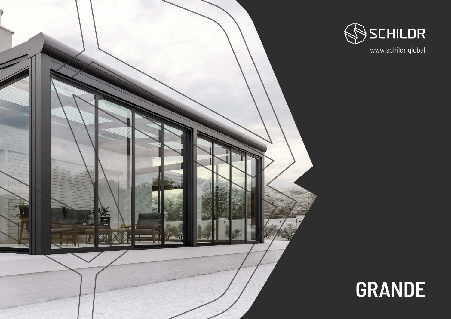# **GRANDE**



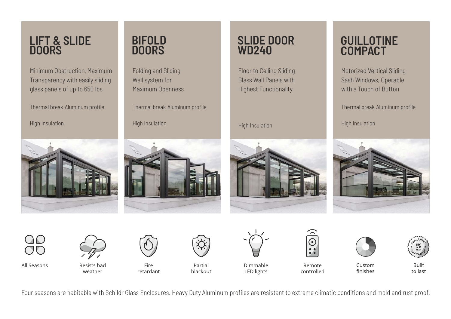Four seasons are habitable with Schildr Glass Enclosures. Heavy Duty Aluminum profiles are resistant to extreme climatic conditions and mold and rust proof.

#### **BIFOLD DOORS**

Folding and Sliding Wall system for Maximum Openness

Thermal break Aluminum profile

High Insulation



### **SLIDE DOOR WD240**

Floor to Ceiling Sliding Glass Wall Panels with Highest Functionality

High Insulation







All Seasons

**Resists bad** weather



Fire retardant



Partial blackout



Dimmable

**LED lights** 



Remote controlled

Minimum Obstruction, Maximum Transparency with easily sliding glass panels of up to 650 lbs

Thermal break Aluminum profile

High Insulation





Custom finishes



**Built** to last

### **GUILLOTINE COMPACT**

Motorized Vertical Sliding Sash Windows, Operable with a Touch of Button

Thermal break Aluminum profile

High Insulation



#### **LIFT & SLIDE DOORS**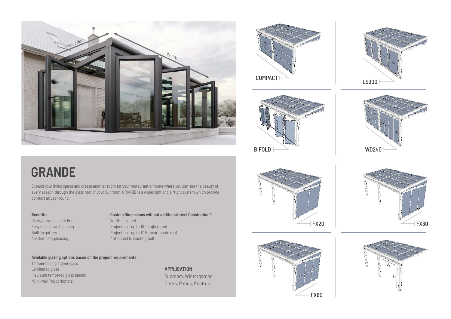

## **GRANDE**

Expand your living space and create another room for your restaurant or home where you can see the beauty of every season through the glass roof of your Sunroom. GRANDE is a watertight and airtight system which provide comfort all year round.

> **APPLICATION** Sunroom, Wintergarden, Decks, Patios, Rooftop

















Aesthetically pleasing Clarity through glass Roof Easy hose down Cleaning Built-in gutters

#### **Benefits:**

\* attached to existing wall Projection - up to 16' for glass roof **Custom Dimensions without additional steel Constuction\*:** Projection - up to 17' Polycarbonate roof Width - no limit

#### **Available glazing options based on the project requirements:**

Tempered single layer glass Insulated tempered glass panels Multi-wall Polycarbonate Laminated glass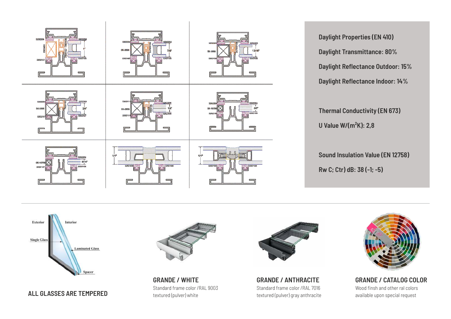- **Daylight Properties (EN 410)**
- **Daylight Transmittance: 80%**
- **Daylight Reflectance Outdoor: 15%**
- **Daylight Reflectance Indoor: 14%**
- **Thermal Conductivity (EN 673)**
- **U Value W/(m²K): 2,8**
- **Sound Insulation Value (EN 12758)**
- **Rw C; Ctr) dB: 38 (-1; -5)**







**ALL GLASSES ARE TEMPERED**



**GRANDE / ANTHRACITE** Standard frame color /RAL 7016 textured (pulver) gray anthracite

**GRANDE / WHITE** Standard frame color /RAL 9003 textured (pulver) white



**GRANDE / CATALOG COLOR** Wood finsh and other ral colors available upon special request